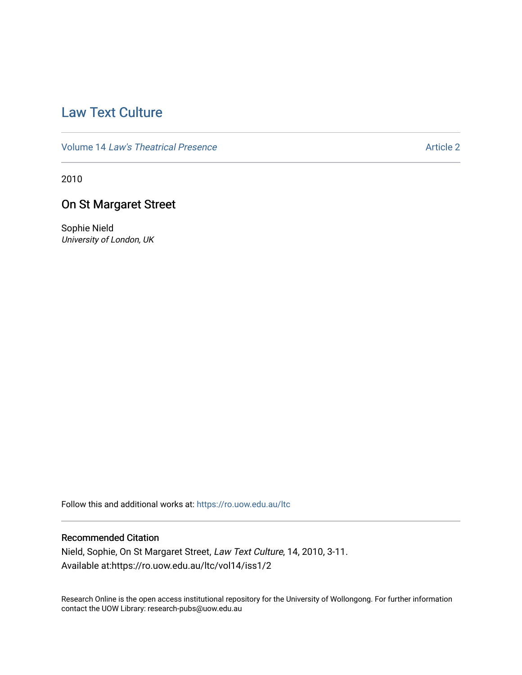# [Law Text Culture](https://ro.uow.edu.au/ltc)

Volume 14 [Law's Theatrical Presence](https://ro.uow.edu.au/ltc/vol14) Article 2

2010

## On St Margaret Street

Sophie Nield University of London, UK

Follow this and additional works at: [https://ro.uow.edu.au/ltc](https://ro.uow.edu.au/ltc?utm_source=ro.uow.edu.au%2Fltc%2Fvol14%2Fiss1%2F2&utm_medium=PDF&utm_campaign=PDFCoverPages) 

## Recommended Citation

Nield, Sophie, On St Margaret Street, Law Text Culture, 14, 2010, 3-11. Available at:https://ro.uow.edu.au/ltc/vol14/iss1/2

Research Online is the open access institutional repository for the University of Wollongong. For further information contact the UOW Library: research-pubs@uow.edu.au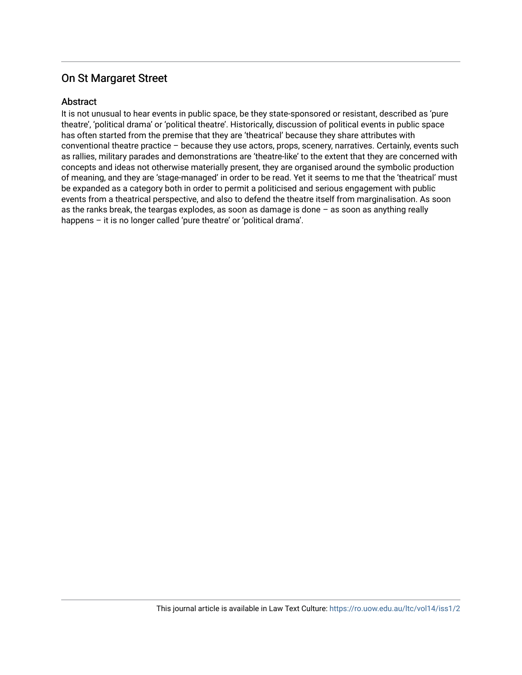### **Abstract**

It is not unusual to hear events in public space, be they state-sponsored or resistant, described as 'pure theatre', 'political drama' or 'political theatre'. Historically, discussion of political events in public space has often started from the premise that they are 'theatrical' because they share attributes with conventional theatre practice – because they use actors, props, scenery, narratives. Certainly, events such as rallies, military parades and demonstrations are 'theatre-like' to the extent that they are concerned with concepts and ideas not otherwise materially present, they are organised around the symbolic production of meaning, and they are 'stage-managed' in order to be read. Yet it seems to me that the 'theatrical' must be expanded as a category both in order to permit a politicised and serious engagement with public events from a theatrical perspective, and also to defend the theatre itself from marginalisation. As soon as the ranks break, the teargas explodes, as soon as damage is done – as soon as anything really happens - it is no longer called 'pure theatre' or 'political drama'.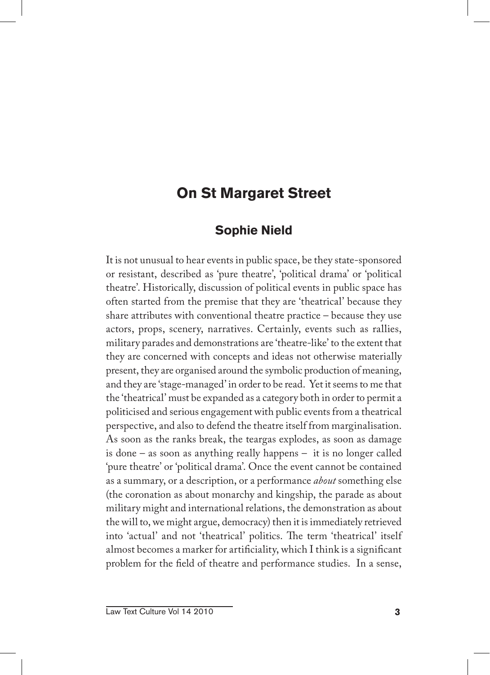### **Sophie Nield**

It is not unusual to hear events in public space, be they state-sponsored or resistant, described as 'pure theatre', 'political drama' or 'political theatre'. Historically, discussion of political events in public space has often started from the premise that they are 'theatrical' because they share attributes with conventional theatre practice – because they use actors, props, scenery, narratives. Certainly, events such as rallies, military parades and demonstrations are 'theatre-like' to the extent that they are concerned with concepts and ideas not otherwise materially present, they are organised around the symbolic production of meaning, and they are 'stage-managed' in order to be read. Yet it seems to me that the 'theatrical' must be expanded as a category both in order to permit a politicised and serious engagement with public events from a theatrical perspective, and also to defend the theatre itself from marginalisation. As soon as the ranks break, the teargas explodes, as soon as damage is done – as soon as anything really happens – it is no longer called 'pure theatre' or 'political drama'. Once the event cannot be contained as a summary, or a description, or a performance *about* something else (the coronation as about monarchy and kingship, the parade as about military might and international relations, the demonstration as about the will to, we might argue, democracy) then it is immediately retrieved into 'actual' and not 'theatrical' politics. The term 'theatrical' itself almost becomes a marker for artificiality, which I think is a significant problem for the field of theatre and performance studies. In a sense,

Law Text Culture Vol 14 2010 **3**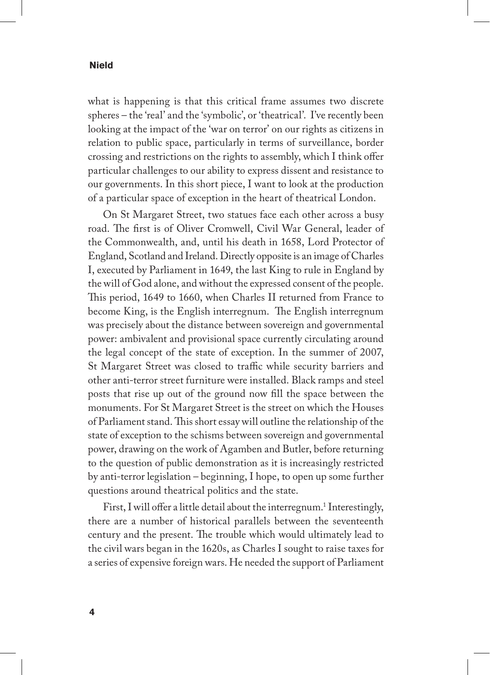what is happening is that this critical frame assumes two discrete spheres – the 'real' and the 'symbolic', or 'theatrical'. I've recently been looking at the impact of the 'war on terror' on our rights as citizens in relation to public space, particularly in terms of surveillance, border crossing and restrictions on the rights to assembly, which I think offer particular challenges to our ability to express dissent and resistance to our governments. In this short piece, I want to look at the production of a particular space of exception in the heart of theatrical London.

On St Margaret Street, two statues face each other across a busy road. The first is of Oliver Cromwell, Civil War General, leader of the Commonwealth, and, until his death in 1658, Lord Protector of England, Scotland and Ireland. Directly opposite is an image of Charles I, executed by Parliament in 1649, the last King to rule in England by the will of God alone, and without the expressed consent of the people. This period, 1649 to 1660, when Charles II returned from France to become King, is the English interregnum. The English interregnum was precisely about the distance between sovereign and governmental power: ambivalent and provisional space currently circulating around the legal concept of the state of exception. In the summer of 2007, St Margaret Street was closed to traffic while security barriers and other anti-terror street furniture were installed. Black ramps and steel posts that rise up out of the ground now fill the space between the monuments. For St Margaret Street is the street on which the Houses of Parliament stand. This short essay will outline the relationship of the state of exception to the schisms between sovereign and governmental power, drawing on the work of Agamben and Butler, before returning to the question of public demonstration as it is increasingly restricted by anti-terror legislation – beginning, I hope, to open up some further questions around theatrical politics and the state.

First, I will offer a little detail about the interregnum.<sup>1</sup> Interestingly, there are a number of historical parallels between the seventeenth century and the present. The trouble which would ultimately lead to the civil wars began in the 1620s, as Charles I sought to raise taxes for a series of expensive foreign wars. He needed the support of Parliament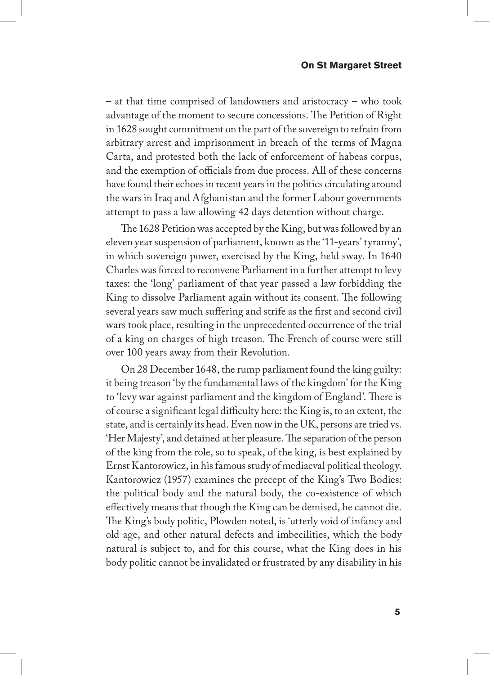– at that time comprised of landowners and aristocracy – who took advantage of the moment to secure concessions. The Petition of Right in 1628 sought commitment on the part of the sovereign to refrain from arbitrary arrest and imprisonment in breach of the terms of Magna Carta, and protested both the lack of enforcement of habeas corpus, and the exemption of officials from due process. All of these concerns have found their echoes in recent years in the politics circulating around the wars in Iraq and Afghanistan and the former Labour governments attempt to pass a law allowing 42 days detention without charge.

The 1628 Petition was accepted by the King, but was followed by an eleven year suspension of parliament, known as the '11-years' tyranny', in which sovereign power, exercised by the King, held sway. In 1640 Charles was forced to reconvene Parliament in a further attempt to levy taxes: the 'long' parliament of that year passed a law forbidding the King to dissolve Parliament again without its consent. The following several years saw much suffering and strife as the first and second civil wars took place, resulting in the unprecedented occurrence of the trial of a king on charges of high treason. The French of course were still over 100 years away from their Revolution.

On 28 December 1648, the rump parliament found the king guilty: it being treason 'by the fundamental laws of the kingdom' for the King to 'levy war against parliament and the kingdom of England'. There is of course a significant legal difficulty here: the King is, to an extent, the state, and is certainly its head. Even now in the UK, persons are tried vs. 'Her Majesty', and detained at her pleasure. The separation of the person of the king from the role, so to speak, of the king, is best explained by Ernst Kantorowicz, in his famous study of mediaeval political theology. Kantorowicz (1957) examines the precept of the King's Two Bodies: the political body and the natural body, the co-existence of which effectively means that though the King can be demised, he cannot die. The King's body politic, Plowden noted, is 'utterly void of infancy and old age, and other natural defects and imbecilities, which the body natural is subject to, and for this course, what the King does in his body politic cannot be invalidated or frustrated by any disability in his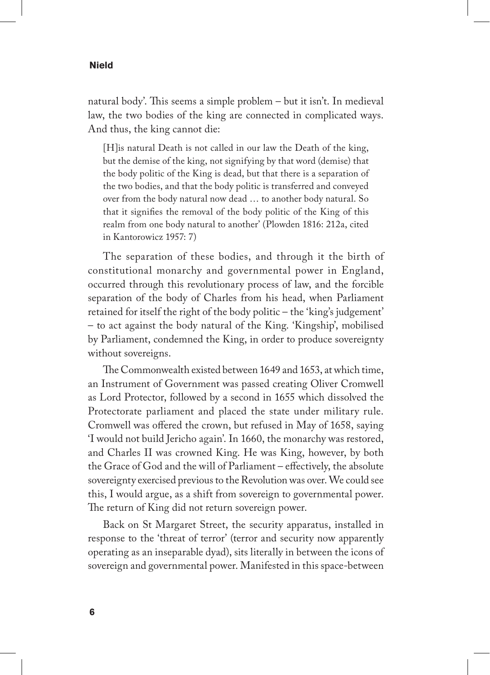natural body'. This seems a simple problem – but it isn't. In medieval law, the two bodies of the king are connected in complicated ways. And thus, the king cannot die:

[H] is natural Death is not called in our law the Death of the king, but the demise of the king, not signifying by that word (demise) that the body politic of the King is dead, but that there is a separation of the two bodies, and that the body politic is transferred and conveyed over from the body natural now dead … to another body natural. So that it signifies the removal of the body politic of the King of this realm from one body natural to another' (Plowden 1816: 212a, cited in Kantorowicz 1957: 7)

The separation of these bodies, and through it the birth of constitutional monarchy and governmental power in England, occurred through this revolutionary process of law, and the forcible separation of the body of Charles from his head, when Parliament retained for itself the right of the body politic – the 'king's judgement' – to act against the body natural of the King. 'Kingship', mobilised by Parliament, condemned the King, in order to produce sovereignty without sovereigns.

The Commonwealth existed between 1649 and 1653, at which time, an Instrument of Government was passed creating Oliver Cromwell as Lord Protector, followed by a second in 1655 which dissolved the Protectorate parliament and placed the state under military rule. Cromwell was offered the crown, but refused in May of 1658, saying 'I would not build Jericho again'. In 1660, the monarchy was restored, and Charles II was crowned King. He was King, however, by both the Grace of God and the will of Parliament – effectively, the absolute sovereignty exercised previous to the Revolution was over. We could see this, I would argue, as a shift from sovereign to governmental power. The return of King did not return sovereign power.

Back on St Margaret Street, the security apparatus, installed in response to the 'threat of terror' (terror and security now apparently operating as an inseparable dyad), sits literally in between the icons of sovereign and governmental power. Manifested in this space-between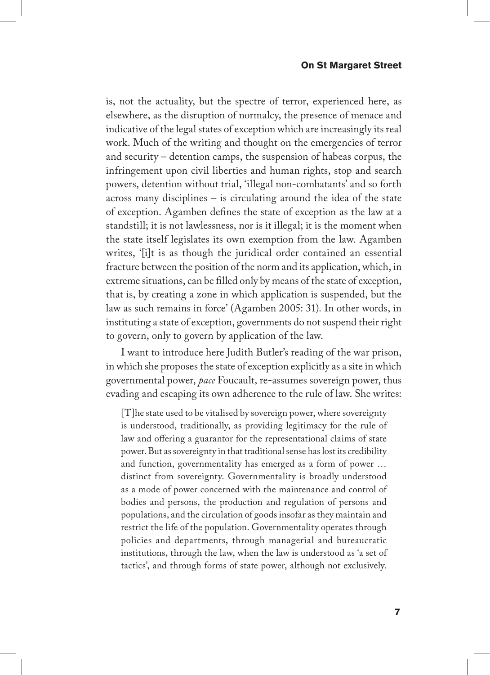is, not the actuality, but the spectre of terror, experienced here, as elsewhere, as the disruption of normalcy, the presence of menace and indicative of the legal states of exception which are increasingly its real work. Much of the writing and thought on the emergencies of terror and security – detention camps, the suspension of habeas corpus, the infringement upon civil liberties and human rights, stop and search powers, detention without trial, 'illegal non-combatants' and so forth across many disciplines – is circulating around the idea of the state of exception. Agamben defines the state of exception as the law at a standstill; it is not lawlessness, nor is it illegal; it is the moment when the state itself legislates its own exemption from the law. Agamben writes, '[i]t is as though the juridical order contained an essential fracture between the position of the norm and its application, which, in extreme situations, can be filled only by means of the state of exception, that is, by creating a zone in which application is suspended, but the law as such remains in force' (Agamben 2005: 31). In other words, in instituting a state of exception, governments do not suspend their right to govern, only to govern by application of the law.

I want to introduce here Judith Butler's reading of the war prison, in which she proposes the state of exception explicitly as a site in which governmental power, *pace* Foucault, re-assumes sovereign power, thus evading and escaping its own adherence to the rule of law. She writes:

[T]he state used to be vitalised by sovereign power, where sovereignty is understood, traditionally, as providing legitimacy for the rule of law and offering a guarantor for the representational claims of state power. But as sovereignty in that traditional sense has lost its credibility and function, governmentality has emerged as a form of power … distinct from sovereignty. Governmentality is broadly understood as a mode of power concerned with the maintenance and control of bodies and persons, the production and regulation of persons and populations, and the circulation of goods insofar as they maintain and restrict the life of the population. Governmentality operates through policies and departments, through managerial and bureaucratic institutions, through the law, when the law is understood as 'a set of tactics', and through forms of state power, although not exclusively.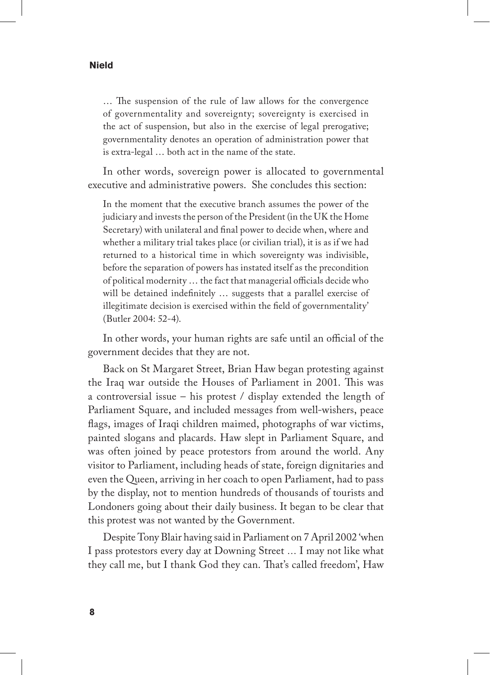… The suspension of the rule of law allows for the convergence of governmentality and sovereignty; sovereignty is exercised in the act of suspension, but also in the exercise of legal prerogative; governmentality denotes an operation of administration power that is extra-legal … both act in the name of the state.

In other words, sovereign power is allocated to governmental executive and administrative powers. She concludes this section:

In the moment that the executive branch assumes the power of the judiciary and invests the person of the President (in the UK the Home Secretary) with unilateral and final power to decide when, where and whether a military trial takes place (or civilian trial), it is as if we had returned to a historical time in which sovereignty was indivisible, before the separation of powers has instated itself as the precondition of political modernity … the fact that managerial officials decide who will be detained indefinitely … suggests that a parallel exercise of illegitimate decision is exercised within the field of governmentality' (Butler 2004: 52-4).

In other words, your human rights are safe until an official of the government decides that they are not.

Back on St Margaret Street, Brian Haw began protesting against the Iraq war outside the Houses of Parliament in 2001. This was a controversial issue – his protest / display extended the length of Parliament Square, and included messages from well-wishers, peace flags, images of Iraqi children maimed, photographs of war victims, painted slogans and placards. Haw slept in Parliament Square, and was often joined by peace protestors from around the world. Any visitor to Parliament, including heads of state, foreign dignitaries and even the Queen, arriving in her coach to open Parliament, had to pass by the display, not to mention hundreds of thousands of tourists and Londoners going about their daily business. It began to be clear that this protest was not wanted by the Government.

Despite Tony Blair having said in Parliament on 7 April 2002 'when I pass protestors every day at Downing Street … I may not like what they call me, but I thank God they can. That's called freedom', Haw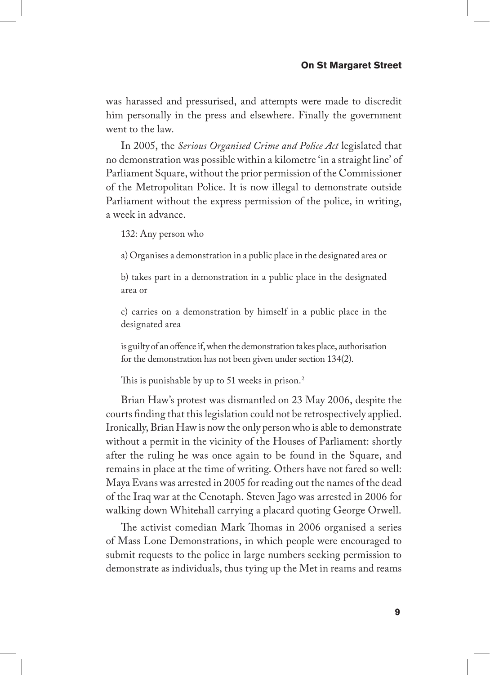was harassed and pressurised, and attempts were made to discredit him personally in the press and elsewhere. Finally the government went to the law.

In 2005, the *Serious Organised Crime and Police Act* legislated that no demonstration was possible within a kilometre 'in a straight line' of Parliament Square, without the prior permission of the Commissioner of the Metropolitan Police. It is now illegal to demonstrate outside Parliament without the express permission of the police, in writing, a week in advance.

132: Any person who

a) Organises a demonstration in a public place in the designated area or

b) takes part in a demonstration in a public place in the designated area or

c) carries on a demonstration by himself in a public place in the designated area

is guilty of an offence if, when the demonstration takes place, authorisation for the demonstration has not been given under section 134(2).

This is punishable by up to 51 weeks in prison.<sup>2</sup>

Brian Haw's protest was dismantled on 23 May 2006, despite the courts finding that this legislation could not be retrospectively applied. Ironically, Brian Haw is now the only person who is able to demonstrate without a permit in the vicinity of the Houses of Parliament: shortly after the ruling he was once again to be found in the Square, and remains in place at the time of writing. Others have not fared so well: Maya Evans was arrested in 2005 for reading out the names of the dead of the Iraq war at the Cenotaph. Steven Jago was arrested in 2006 for walking down Whitehall carrying a placard quoting George Orwell.

The activist comedian Mark Thomas in 2006 organised a series of Mass Lone Demonstrations, in which people were encouraged to submit requests to the police in large numbers seeking permission to demonstrate as individuals, thus tying up the Met in reams and reams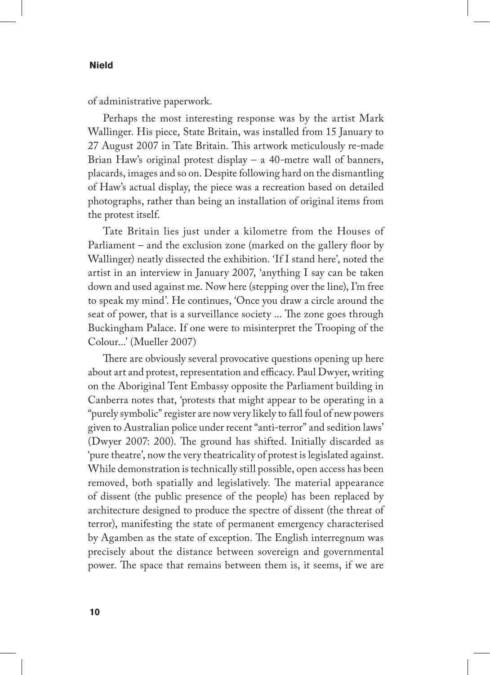of administrative paperwork.

Perhaps the most interesting response was by the artist Mark Wallinger. His piece, State Britain, was installed from 15 January to 27 August 2007 in Tate Britain. This artwork meticulously re-made Brian Haw's original protest display – a 40-metre wall of banners, placards, images and so on. Despite following hard on the dismantling of Haw's actual display, the piece was a recreation based on detailed photographs, rather than being an installation of original items from the protest itself.

Tate Britain lies just under a kilometre from the Houses of Parliament – and the exclusion zone (marked on the gallery floor by Wallinger) neatly dissected the exhibition. 'If I stand here', noted the artist in an interview in January 2007, 'anything I say can be taken down and used against me. Now here (stepping over the line), I'm free to speak my mind'. He continues, 'Once you draw a circle around the seat of power, that is a surveillance society ... The zone goes through Buckingham Palace. If one were to misinterpret the Trooping of the Colour...' (Mueller 2007)

There are obviously several provocative questions opening up here about art and protest, representation and efficacy. Paul Dwyer, writing on the Aboriginal Tent Embassy opposite the Parliament building in Canberra notes that, 'protests that might appear to be operating in a "purely symbolic" register are now very likely to fall foul of new powers given to Australian police under recent "anti-terror" and sedition laws' (Dwyer 2007: 200). The ground has shifted. Initially discarded as 'pure theatre', now the very theatricality of protest is legislated against. While demonstration is technically still possible, open access has been removed, both spatially and legislatively. The material appearance of dissent (the public presence of the people) has been replaced by architecture designed to produce the spectre of dissent (the threat of terror), manifesting the state of permanent emergency characterised by Agamben as the state of exception. The English interregnum was precisely about the distance between sovereign and governmental power. The space that remains between them is, it seems, if we are